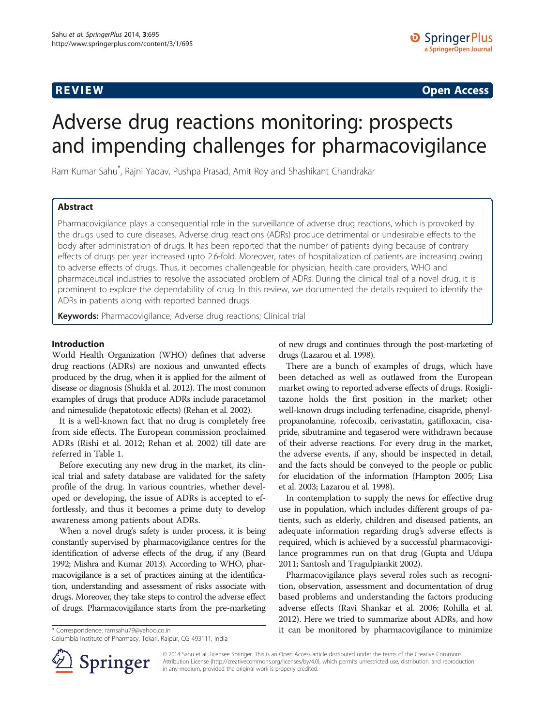**REVIEW CONSTRUCTION CONSTRUCTION CONSTRUCTS** 

# Adverse drug reactions monitoring: prospects and impending challenges for pharmacovigilance

Ram Kumar Sahu\* , Rajni Yadav, Pushpa Prasad, Amit Roy and Shashikant Chandrakar

# Abstract

Pharmacovigilance plays a consequential role in the surveillance of adverse drug reactions, which is provoked by the drugs used to cure diseases. Adverse drug reactions (ADRs) produce detrimental or undesirable effects to the body after administration of drugs. It has been reported that the number of patients dying because of contrary effects of drugs per year increased upto 2.6-fold. Moreover, rates of hospitalization of patients are increasing owing to adverse effects of drugs. Thus, it becomes challengeable for physician, health care providers, WHO and pharmaceutical industries to resolve the associated problem of ADRs. During the clinical trial of a novel drug, it is prominent to explore the dependability of drug. In this review, we documented the details required to identify the ADRs in patients along with reported banned drugs.

Keywords: Pharmacovigilance; Adverse drug reactions; Clinical trial

## Introduction

World Health Organization (WHO) defines that adverse drug reactions (ADRs) are noxious and unwanted effects produced by the drug, when it is applied for the ailment of disease or diagnosis (Shukla et al. [2012](#page-8-0)). The most common examples of drugs that produce ADRs include paracetamol and nimesulide (hepatotoxic effects) (Rehan et al. [2002\)](#page-8-0).

It is a well-known fact that no drug is completely free from side effects. The European commission proclaimed ADRs (Rishi et al. [2012;](#page-8-0) Rehan et al. [2002](#page-8-0)) till date are referred in Table [1.](#page-1-0)

Before executing any new drug in the market, its clinical trial and safety database are validated for the safety profile of the drug. In various countries, whether developed or developing, the issue of ADRs is accepted to effortlessly, and thus it becomes a prime duty to develop awareness among patients about ADRs.

When a novel drug's safety is under process, it is being constantly supervised by pharmacovigilance centres for the identification of adverse effects of the drug, if any (Beard [1992](#page-7-0); Mishra and Kumar [2013](#page-8-0)). According to WHO, pharmacovigilance is a set of practices aiming at the identification, understanding and assessment of risks associate with drugs. Moreover, they take steps to control the adverse effect of drugs. Pharmacovigilance starts from the pre-marketing

Columbia Institute of Pharmacy, Tekari, Raipur, CG 493111, India

of new drugs and continues through the post-marketing of drugs (Lazarou et al. [1998](#page-7-0)).

There are a bunch of examples of drugs, which have been detached as well as outlawed from the European market owing to reported adverse effects of drugs. Rosiglitazone holds the first position in the market; other well-known drugs including terfenadine, cisapride, phenylpropanolamine, rofecoxib, cerivastatin, gatifloxacin, cisapride, sibutramine and tegaserod were withdrawn because of their adverse reactions. For every drug in the market, the adverse events, if any, should be inspected in detail, and the facts should be conveyed to the people or public for elucidation of the information (Hampton [2005](#page-7-0); Lisa et al. [2003](#page-7-0); Lazarou et al. [1998](#page-7-0)).

In contemplation to supply the news for effective drug use in population, which includes different groups of patients, such as elderly, children and diseased patients, an adequate information regarding drug's adverse effects is required, which is achieved by a successful pharmacovigilance programmes run on that drug (Gupta and Udupa [2011;](#page-7-0) Santosh and Tragulpiankit [2002](#page-8-0)).

Pharmacovigilance plays several roles such as recognition, observation, assessment and documentation of drug based problems and understanding the factors producing adverse effects (Ravi Shankar et al. [2006;](#page-8-0) Rohilla et al. [2012\)](#page-8-0). Here we tried to summarize about ADRs, and how \* Correspondence: [ramsahu79@yahoo.co.in](mailto:ramsahu79@yahoo.co.in) it can be monitored by pharmacovigilance to minimize



© 2014 Sahu et al.; licensee Springer. This is an Open Access article distributed under the terms of the Creative Commons Attribution License [\(http://creativecommons.org/licenses/by/4.0\)](http://creativecommons.org/licenses/by/4.0), which permits unrestricted use, distribution, and reproduction in any medium, provided the original work is properly credited.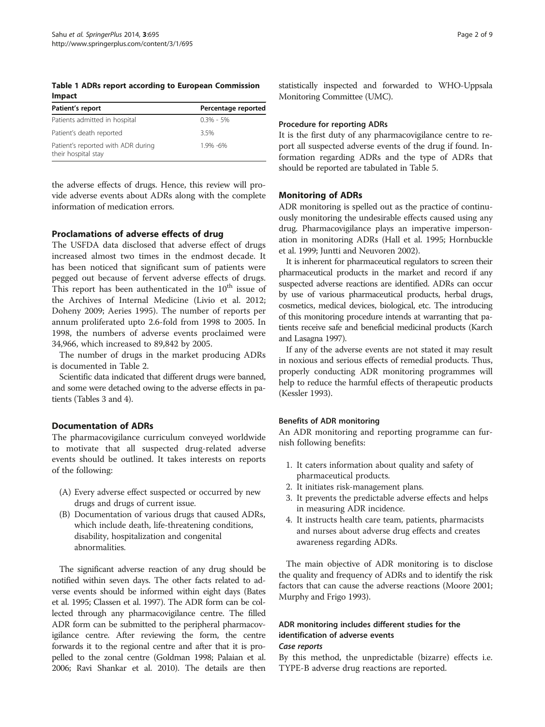<span id="page-1-0"></span>Table 1 ADRs report according to European Commission Impact

| Patient's report                                          | Percentage reported |
|-----------------------------------------------------------|---------------------|
| Patients admitted in hospital                             | $0.3\% - 5\%$       |
| Patient's death reported                                  | 35%                 |
| Patient's reported with ADR during<br>their hospital stay | 19% -6%             |

the adverse effects of drugs. Hence, this review will provide adverse events about ADRs along with the complete information of medication errors.

#### Proclamations of adverse effects of drug

The USFDA data disclosed that adverse effect of drugs increased almost two times in the endmost decade. It has been noticed that significant sum of patients were pegged out because of fervent adverse effects of drugs. This report has been authenticated in the  $10<sup>th</sup>$  issue of the Archives of Internal Medicine (Livio et al. [2012](#page-7-0); Doheny [2009;](#page-7-0) Aeries [1995](#page-7-0)). The number of reports per annum proliferated upto 2.6-fold from 1998 to 2005. In 1998, the numbers of adverse events proclaimed were 34,966, which increased to 89,842 by 2005.

The number of drugs in the market producing ADRs is documented in Table [2.](#page-2-0)

Scientific data indicated that different drugs were banned, and some were detached owing to the adverse effects in patients (Tables [3](#page-3-0) and [4](#page-4-0)).

#### Documentation of ADRs

The pharmacovigilance curriculum conveyed worldwide to motivate that all suspected drug-related adverse events should be outlined. It takes interests on reports of the following:

- (A) Every adverse effect suspected or occurred by new drugs and drugs of current issue.
- (B) Documentation of various drugs that caused ADRs, which include death, life-threatening conditions, disability, hospitalization and congenital abnormalities.

The significant adverse reaction of any drug should be notified within seven days. The other facts related to adverse events should be informed within eight days (Bates et al. [1995](#page-7-0); Classen et al. [1997\)](#page-7-0). The ADR form can be collected through any pharmacovigilance centre. The filled ADR form can be submitted to the peripheral pharmacovigilance centre. After reviewing the form, the centre forwards it to the regional centre and after that it is propelled to the zonal centre (Goldman [1998](#page-7-0); Palaian et al. [2006;](#page-8-0) Ravi Shankar et al. [2010](#page-8-0)). The details are then statistically inspected and forwarded to WHO-Uppsala Monitoring Committee (UMC).

#### Procedure for reporting ADRs

It is the first duty of any pharmacovigilance centre to report all suspected adverse events of the drug if found. Information regarding ADRs and the type of ADRs that should be reported are tabulated in Table [5.](#page-5-0)

#### Monitoring of ADRs

ADR monitoring is spelled out as the practice of continuously monitoring the undesirable effects caused using any drug. Pharmacovigilance plays an imperative impersonation in monitoring ADRs (Hall et al. [1995;](#page-7-0) Hornbuckle et al. [1999](#page-7-0); Juntti and Neuvoren [2002\)](#page-7-0).

It is inherent for pharmaceutical regulators to screen their pharmaceutical products in the market and record if any suspected adverse reactions are identified. ADRs can occur by use of various pharmaceutical products, herbal drugs, cosmetics, medical devices, biological, etc. The introducing of this monitoring procedure intends at warranting that patients receive safe and beneficial medicinal products (Karch and Lasagna [1997](#page-7-0)).

If any of the adverse events are not stated it may result in noxious and serious effects of remedial products. Thus, properly conducting ADR monitoring programmes will help to reduce the harmful effects of therapeutic products (Kessler [1993](#page-7-0)).

#### Benefits of ADR monitoring

An ADR monitoring and reporting programme can furnish following benefits:

- 1. It caters information about quality and safety of pharmaceutical products.
- 2. It initiates risk-management plans.
- 3. It prevents the predictable adverse effects and helps in measuring ADR incidence.
- 4. It instructs health care team, patients, pharmacists and nurses about adverse drug effects and creates awareness regarding ADRs.

The main objective of ADR monitoring is to disclose the quality and frequency of ADRs and to identify the risk factors that can cause the adverse reactions (Moore [2001](#page-8-0); Murphy and Frigo [1993\)](#page-8-0).

#### ADR monitoring includes different studies for the identification of adverse events Case reports

By this method, the unpredictable (bizarre) effects i.e. TYPE-B adverse drug reactions are reported.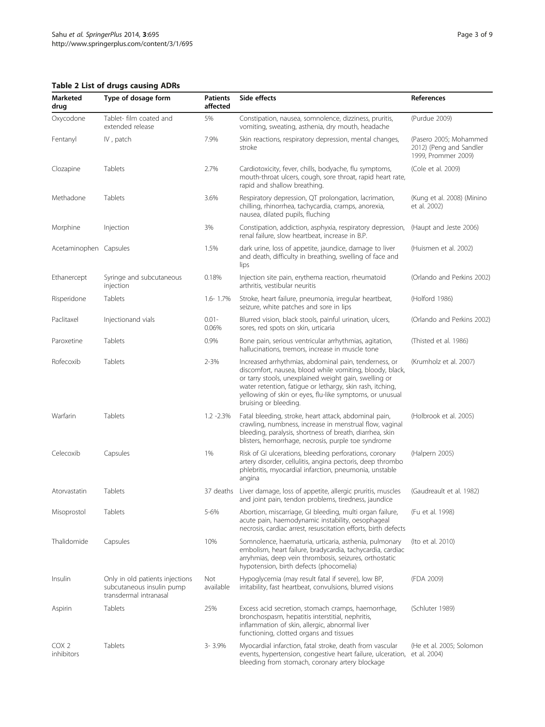<span id="page-2-0"></span>Table 2 List of drugs causing ADRs

| <b>Marketed</b><br>drug        | Type of dosage form                                                                    | <b>Patients</b><br>affected | Side effects                                                                                                                                                                                                                                                                                                                 | References                                                               |  |
|--------------------------------|----------------------------------------------------------------------------------------|-----------------------------|------------------------------------------------------------------------------------------------------------------------------------------------------------------------------------------------------------------------------------------------------------------------------------------------------------------------------|--------------------------------------------------------------------------|--|
| Oxycodone                      | Tablet- film coated and<br>extended release                                            | 5%                          | Constipation, nausea, somnolence, dizziness, pruritis,<br>vomiting, sweating, asthenia, dry mouth, headache                                                                                                                                                                                                                  | (Purdue 2009)                                                            |  |
| Fentanyl                       | IV, patch                                                                              | 7.9%                        | Skin reactions, respiratory depression, mental changes,<br>stroke                                                                                                                                                                                                                                                            | (Pasero 2005; Mohammed<br>2012) (Peng and Sandler<br>1999, Prommer 2009) |  |
| Clozapine                      | Tablets                                                                                | 2.7%                        | Cardiotoxicity, fever, chills, bodyache, flu symptoms,<br>mouth-throat ulcers, cough, sore throat, rapid heart rate,<br>rapid and shallow breathing.                                                                                                                                                                         | (Cole et al. 2009)                                                       |  |
| Methadone                      | Tablets                                                                                | 3.6%                        | Respiratory depression, QT prolongation, lacrimation,<br>chilling, rhinorrhea, tachycardia, cramps, anorexia,<br>nausea, dilated pupils, fluching                                                                                                                                                                            | (Kung et al. 2008) (Minino<br>et al. 2002)                               |  |
| Morphine                       | Injection                                                                              | 3%                          | Constipation, addiction, asphyxia, respiratory depression,<br>renal failure, slow heartbeat, increase in B.P.                                                                                                                                                                                                                | (Haupt and Jeste 2006)                                                   |  |
| Acetaminophen Capsules         |                                                                                        | 1.5%                        | dark urine, loss of appetite, jaundice, damage to liver<br>and death, difficulty in breathing, swelling of face and<br>lips                                                                                                                                                                                                  | (Huismen et al. 2002)                                                    |  |
| Ethanercept                    | Syringe and subcutaneous<br>injection                                                  | 0.18%                       | Injection site pain, erythema reaction, rheumatoid<br>arthritis, vestibular neuritis                                                                                                                                                                                                                                         | (Orlando and Perkins 2002)                                               |  |
| Risperidone                    | Tablets                                                                                | $1.6 - 1.7\%$               | Stroke, heart failure, pneumonia, irregular heartbeat,<br>seizure, white patches and sore in lips                                                                                                                                                                                                                            | (Holford 1986)                                                           |  |
| Paclitaxel                     | Injectionand vials                                                                     | $0.01 -$<br>0.06%           | Blurred vision, black stools, painful urination, ulcers,<br>sores, red spots on skin, urticaria                                                                                                                                                                                                                              | (Orlando and Perkins 2002)                                               |  |
| Paroxetine                     | Tablets                                                                                | 0.9%                        | Bone pain, serious ventricular arrhythmias, agitation,<br>hallucinations, tremors, increase in muscle tone                                                                                                                                                                                                                   | (Thisted et al. 1986)                                                    |  |
| Rofecoxib                      | Tablets                                                                                | $2 - 3%$                    | Increased arrhythmias, abdominal pain, tenderness, or<br>discomfort, nausea, blood while vomiting, bloody, black,<br>or tarry stools, unexplained weight gain, swelling or<br>water retention, fatique or lethargy, skin rash, itching,<br>yellowing of skin or eyes, flu-like symptoms, or unusual<br>bruising or bleeding. | (Krumholz et al. 2007)                                                   |  |
| Warfarin                       | Tablets                                                                                | $1.2 - 2.3%$                | Fatal bleeding, stroke, heart attack, abdominal pain,<br>crawling, numbness, increase in menstrual flow, vaginal<br>bleeding, paralysis, shortness of breath, diarrhea, skin<br>blisters, hemorrhage, necrosis, purple toe syndrome                                                                                          | (Holbrook et al. 2005)                                                   |  |
| Celecoxib                      | Capsules                                                                               | 1%                          | Risk of GI ulcerations, bleeding perforations, coronary<br>artery disorder, cellulitis, angina pectoris, deep thrombo<br>phlebritis, myocardial infarction, pneumonia, unstable<br>angina                                                                                                                                    | (Halpern 2005)                                                           |  |
| Atorvastatin                   | Tablets                                                                                | 37 deaths                   | Liver damage, loss of appetite, allergic pruritis, muscles<br>and joint pain, tendon problems, tiredness, jaundice                                                                                                                                                                                                           | (Gaudreault et al. 1982)                                                 |  |
| Misoprostol                    | Tablets                                                                                | 5-6%                        | Abortion, miscarriage, GI bleeding, multi organ failure,<br>acute pain, haemodynamic instability, oesophageal<br>necrosis, cardiac arrest, resuscitation efforts, birth defects                                                                                                                                              | (Fu et al. 1998)                                                         |  |
| Thalidomide                    | Capsules                                                                               | 10%                         | Somnolence, haematuria, urticaria, asthenia, pulmonary<br>embolism, heart failure, bradycardia, tachycardia, cardiac<br>arryhmias, deep vein thrombosis, seizures, orthostatic<br>hypotension, birth defects (phocomelia)                                                                                                    | (Ito et al. 2010)                                                        |  |
| Insulin                        | Only in old patients injections<br>subcutaneous insulin pump<br>transdermal intranasal | Not<br>available            | Hypoglycemia (may result fatal if severe), low BP,<br>irritability, fast heartbeat, convulsions, blurred visions                                                                                                                                                                                                             | (FDA 2009)                                                               |  |
| Aspirin                        | Tablets                                                                                | 25%                         | Excess acid secretion, stomach cramps, haemorrhage,<br>bronchospasm, hepatitis interstitial, nephritis,<br>inflammation of skin, allergic, abnormal liver<br>functioning, clotted organs and tissues                                                                                                                         | (Schluter 1989)                                                          |  |
| COX <sub>2</sub><br>inhibitors | Tablets                                                                                | 3-3.9%                      | Myocardial infarction, fatal stroke, death from vascular<br>events, hypertension, congestive heart failure, ulceration,<br>bleeding from stomach, coronary artery blockage                                                                                                                                                   | (He et al. 2005; Solomon<br>et al. 2004)                                 |  |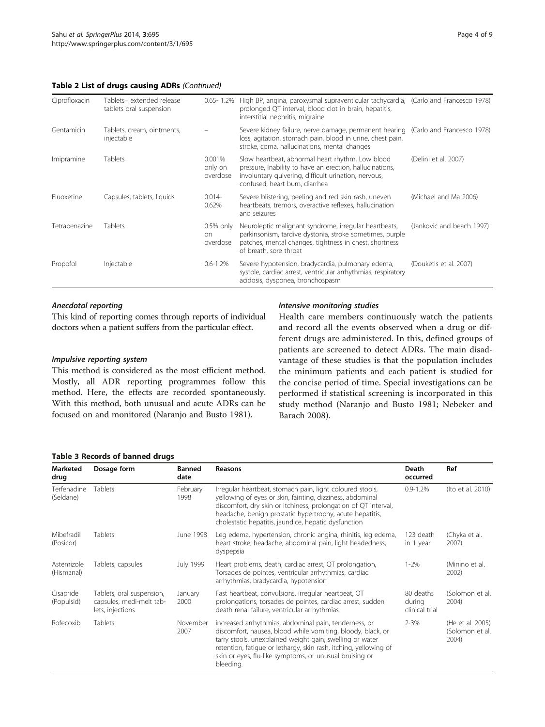#### <span id="page-3-0"></span>Table 2 List of drugs causing ADRs (Continued)

| Ciprofloxacin | Tablets- extended release<br>tablets oral suspension |                                | 0.65-1.2% High BP, angina, paroxysmal supraventicular tachycardia, (Carlo and Francesco 1978)<br>prolonged QT interval, blood clot in brain, hepatitis,<br>interstitial nephritis, migraine            |                           |
|---------------|------------------------------------------------------|--------------------------------|--------------------------------------------------------------------------------------------------------------------------------------------------------------------------------------------------------|---------------------------|
| Gentamicin    | Tablets, cream, ointments,<br>injectable             |                                | Severe kidney failure, nerve damage, permanent hearing (Carlo and Francesco 1978)<br>loss, agitation, stomach pain, blood in urine, chest pain,<br>stroke, coma, hallucinations, mental changes        |                           |
| Imipramine    | <b>Tablets</b>                                       | 0.001%<br>only on<br>overdose  | Slow heartbeat, abnormal heart rhythm, Low blood<br>pressure, Inability to have an erection, hallucinations,<br>involuntary quivering, difficult urination, nervous,<br>confused, heart burn, diarrhea | (Delini et al. 2007)      |
| Fluoxetine    | Capsules, tablets, liquids                           | $0.014 -$<br>0.62%             | Severe blistering, peeling and red skin rash, uneven<br>heartbeats, tremors, overactive reflexes, hallucination<br>and seizures                                                                        | (Michael and Ma 2006)     |
| Tetrabenazine | Tablets                                              | $0.5\%$ only<br>on<br>overdose | Neuroleptic malignant syndrome, irregular heartbeats,<br>parkinsonism, tardive dystonia, stroke sometimes, purple<br>patches, mental changes, tightness in chest, shortness<br>of breath, sore throat  | (Jankovic and beach 1997) |
| Propofol      | Injectable                                           | $0.6 - 1.2%$                   | Severe hypotension, bradycardia, pulmonary edema,<br>systole, cardiac arrest, ventricular arrhythmias, respiratory<br>acidosis, dysponea, bronchospasm                                                 | (Douketis et al. 2007)    |

#### Anecdotal reporting

This kind of reporting comes through reports of individual doctors when a patient suffers from the particular effect.

## Impulsive reporting system

This method is considered as the most efficient method. Mostly, all ADR reporting programmes follow this method. Here, the effects are recorded spontaneously. With this method, both unusual and acute ADRs can be focused on and monitored (Naranjo and Busto [1981\)](#page-8-0).

# Intensive monitoring studies

Health care members continuously watch the patients and record all the events observed when a drug or different drugs are administered. In this, defined groups of patients are screened to detect ADRs. The main disadvantage of these studies is that the population includes the minimum patients and each patient is studied for the concise period of time. Special investigations can be performed if statistical screening is incorporated in this study method (Naranjo and Busto [1981](#page-8-0); Nebeker and Barach [2008](#page-8-0)).

#### Table 3 Records of banned drugs

| <b>Marketed</b><br>drug  | Dosage form                                                               | <b>Banned</b><br>date | Reasons                                                                                                                                                                                                                                                                                                                      | Death<br>occurred                     | Ref                                          |
|--------------------------|---------------------------------------------------------------------------|-----------------------|------------------------------------------------------------------------------------------------------------------------------------------------------------------------------------------------------------------------------------------------------------------------------------------------------------------------------|---------------------------------------|----------------------------------------------|
| Terfenadine<br>(Seldane) | Tablets                                                                   | February<br>1998      | Irregular heartbeat, stomach pain, light coloured stools,<br>yellowing of eyes or skin, fainting, dizziness, abdominal<br>discomfort, dry skin or itchiness, prolongation of QT interval,<br>headache, benign prostatic hypertrophy, acute hepatitis,<br>cholestatic hepatitis, jaundice, hepatic dysfunction                | $0.9 - 1.2%$                          | (Ito et al. 2010)                            |
| Mibefradil<br>(Posicor)  | <b>Tablets</b>                                                            | June 1998             | Leg edema, hypertension, chronic angina, rhinitis, leg edema,<br>heart stroke, headache, abdominal pain, light headedness,<br>dyspepsia                                                                                                                                                                                      | 123 death<br>in 1 year                | (Chyka et al.<br>2007)                       |
| Astemizole<br>(Hismanal) | Tablets, capsules                                                         | July 1999             | Heart problems, death, cardiac arrest, QT prolongation,<br>Torsades de pointes, ventricular arrhythmias, cardiac<br>arrhythmias, bradycardia, hypotension                                                                                                                                                                    | $1 - 2%$                              | (Minino et al.<br>2002)                      |
| Cisapride<br>(Populsid)  | Tablets, oral suspension,<br>capsules, medi-melt tab-<br>lets, injections | January<br>2000       | Fast heartbeat, convulsions, irregular heartbeat, QT<br>prolongations, torsades de pointes, cardiac arrest, sudden<br>death renal failure, ventricular arrhythmias                                                                                                                                                           | 80 deaths<br>during<br>clinical trial | (Solomon et al.<br>2004)                     |
| Rofecoxib                | Tablets                                                                   | November<br>2007      | increased arrhythmias, abdominal pain, tenderness, or<br>discomfort, nausea, blood while vomiting, bloody, black, or<br>tarry stools, unexplained weight gain, swelling or water<br>retention, fatique or lethargy, skin rash, itching, yellowing of<br>skin or eyes, flu-like symptoms, or unusual bruising or<br>bleeding. | $2 - 3%$                              | (He et al. 2005)<br>(Solomon et al.<br>2004) |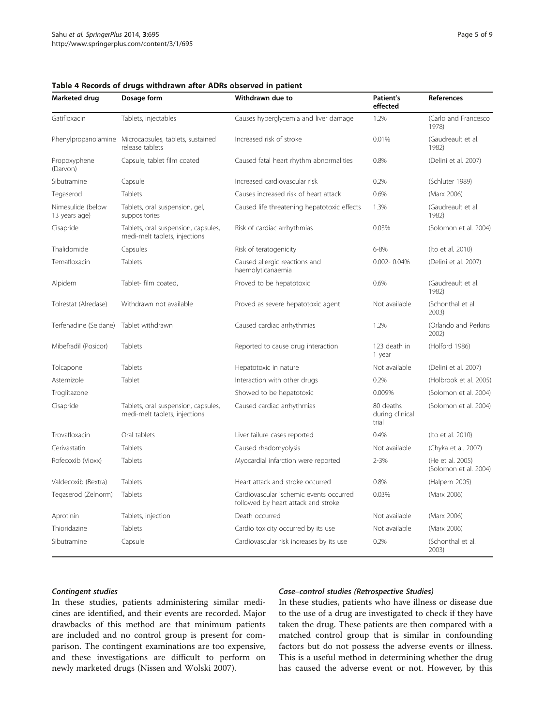<span id="page-4-0"></span>

| Table 4 Records of drugs withdrawn after ADRs observed in patient |  |
|-------------------------------------------------------------------|--|
|-------------------------------------------------------------------|--|

| Marketed drug                      | Dosage form                                                              | Withdrawn due to                                                               | Patient's<br>effected                 | <b>References</b>                         |
|------------------------------------|--------------------------------------------------------------------------|--------------------------------------------------------------------------------|---------------------------------------|-------------------------------------------|
| Gatifloxacin                       | Tablets, injectables                                                     | Causes hyperglycemia and liver damage                                          | 1.2%                                  | (Carlo and Francesco<br>1978)             |
|                                    | Phenylpropanolamine Microcapsules, tablets, sustained<br>release tablets | Increased risk of stroke                                                       | 0.01%                                 | (Gaudreault et al.<br>1982)               |
| Propoxyphene<br>(Darvon)           | Capsule, tablet film coated                                              | Caused fatal heart rhythm abnormalities                                        | 0.8%                                  | (Delini et al. 2007)                      |
| Sibutramine                        | Capsule                                                                  | Increased cardiovascular risk                                                  | 0.2%                                  | (Schluter 1989)                           |
| Tegaserod                          | <b>Tablets</b>                                                           | Causes increased risk of heart attack                                          | 0.6%                                  | (Marx 2006)                               |
| Nimesulide (below<br>13 years age) | Tablets, oral suspension, gel,<br>suppositories                          | Caused life threatening hepatotoxic effects                                    | 1.3%                                  | (Gaudreault et al.<br>1982)               |
| Cisapride                          | Tablets, oral suspension, capsules,<br>medi-melt tablets, injections     | Risk of cardiac arrhythmias                                                    | 0.03%                                 | (Solomon et al. 2004)                     |
| Thalidomide                        | Capsules                                                                 | Risk of teratogenicity                                                         | 6-8%                                  | (Ito et al. 2010)                         |
| Temafloxacin                       | Tablets                                                                  | Caused allergic reactions and<br>haemolyticanaemia                             | $0.002 - 0.04%$                       | (Delini et al. 2007)                      |
| Alpidem                            | Tablet- film coated,                                                     | Proved to be hepatotoxic                                                       | 0.6%                                  | (Gaudreault et al.<br>1982)               |
| Tolrestat (Alredase)               | Withdrawn not available                                                  | Proved as severe hepatotoxic agent                                             | Not available                         | (Schonthal et al.<br>2003)                |
| Terfenadine (Seldane)              | Tablet withdrawn                                                         | Caused cardiac arrhythmias                                                     | 1.2%                                  | (Orlando and Perkins<br>2002)             |
| Mibefradil (Posicor)               | Tablets                                                                  | Reported to cause drug interaction                                             | 123 death in<br>1 year                | (Holford 1986)                            |
| Tolcapone                          | Tablets                                                                  | Hepatotoxic in nature                                                          | Not available                         | (Delini et al. 2007)                      |
| Astemizole                         | Tablet                                                                   | Interaction with other drugs                                                   | 0.2%                                  | (Holbrook et al. 2005)                    |
| Troglitazone                       |                                                                          | Showed to be hepatotoxic                                                       | 0.009%                                | (Solomon et al. 2004)                     |
| Cisapride                          | Tablets, oral suspension, capsules,<br>medi-melt tablets, injections     | Caused cardiac arrhythmias                                                     | 80 deaths<br>during clinical<br>trial | (Solomon et al. 2004)                     |
| Trovafloxacin                      | Oral tablets                                                             | Liver failure cases reported                                                   | 0.4%                                  | (Ito et al. 2010)                         |
| Cerivastatin                       | Tablets                                                                  | Caused rhadomyolysis                                                           | Not available                         | (Chyka et al. 2007)                       |
| Rofecoxib (Vioxx)                  | Tablets                                                                  | Myocardial infarction were reported                                            | $2 - 3%$                              | (He et al. 2005)<br>(Solomon et al. 2004) |
| Valdecoxib (Bextra)                | <b>Tablets</b>                                                           | Heart attack and stroke occurred                                               | 0.8%                                  | (Halpern 2005)                            |
| Tegaserod (Zelnorm)                | Tablets                                                                  | Cardiovascular ischemic events occurred<br>followed by heart attack and stroke | 0.03%                                 | (Marx 2006)                               |
| Aprotinin                          | Tablets, injection                                                       | Death occurred                                                                 | Not available                         | (Marx 2006)                               |
| Thioridazine                       | Tablets                                                                  | Cardio toxicity occurred by its use                                            | Not available                         | (Marx 2006)                               |
| Sibutramine                        | Capsule                                                                  | Cardiovascular risk increases by its use                                       | 0.2%                                  | (Schonthal et al.<br>2003)                |

#### Contingent studies

In these studies, patients administering similar medicines are identified, and their events are recorded. Major drawbacks of this method are that minimum patients are included and no control group is present for comparison. The contingent examinations are too expensive, and these investigations are difficult to perform on newly marketed drugs (Nissen and Wolski [2007](#page-8-0)).

## Case–control studies (Retrospective Studies)

In these studies, patients who have illness or disease due to the use of a drug are investigated to check if they have taken the drug. These patients are then compared with a matched control group that is similar in confounding factors but do not possess the adverse events or illness. This is a useful method in determining whether the drug has caused the adverse event or not. However, by this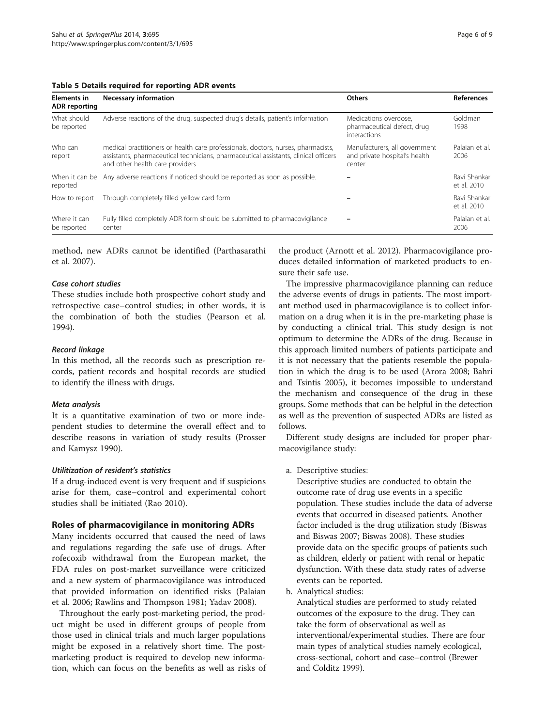<span id="page-5-0"></span>

|  |  |  |  | Table 5 Details required for reporting ADR events |  |  |
|--|--|--|--|---------------------------------------------------|--|--|
|--|--|--|--|---------------------------------------------------|--|--|

| <b>Elements in</b><br><b>ADR</b> reporting | <b>Necessary information</b>                                                                                                                                                                                 | <b>Others</b>                                                            | <b>References</b>           |
|--------------------------------------------|--------------------------------------------------------------------------------------------------------------------------------------------------------------------------------------------------------------|--------------------------------------------------------------------------|-----------------------------|
| What should<br>be reported                 | Adverse reactions of the drug, suspected drug's details, patient's information                                                                                                                               | Medications overdose,<br>pharmaceutical defect, drug<br>interactions     | Goldman<br>1998             |
| Who can<br>report                          | medical practitioners or health care professionals, doctors, nurses, pharmacists,<br>assistants, pharmaceutical technicians, pharmaceutical assistants, clinical officers<br>and other health care providers | Manufacturers, all government<br>and private hospital's health<br>center | Palaian et al.<br>2006      |
| When it can be<br>reported                 | Any adverse reactions if noticed should be reported as soon as possible.                                                                                                                                     |                                                                          | Ravi Shankar<br>et al. 2010 |
| How to report                              | Through completely filled yellow card form                                                                                                                                                                   |                                                                          | Ravi Shankar<br>et al. 2010 |
| Where it can<br>be reported                | Fully filled completely ADR form should be submitted to pharmacovigilance<br>center                                                                                                                          | $\overline{\phantom{m}}$                                                 | Palaian et al.<br>2006      |

method, new ADRs cannot be identified (Parthasarathi et al. [2007\)](#page-8-0).

#### Case cohort studies

These studies include both prospective cohort study and retrospective case–control studies; in other words, it is the combination of both the studies (Pearson et al. [1994](#page-8-0)).

#### Record linkage

In this method, all the records such as prescription records, patient records and hospital records are studied to identify the illness with drugs.

#### Meta analysis

It is a quantitative examination of two or more independent studies to determine the overall effect and to describe reasons in variation of study results (Prosser and Kamysz [1990\)](#page-8-0).

#### Utilitization of resident's statistics

If a drug-induced event is very frequent and if suspicions arise for them, case–control and experimental cohort studies shall be initiated (Rao [2010\)](#page-8-0).

#### Roles of pharmacovigilance in monitoring ADRs

Many incidents occurred that caused the need of laws and regulations regarding the safe use of drugs. After rofecoxib withdrawal from the European market, the FDA rules on post-market surveillance were criticized and a new system of pharmacovigilance was introduced that provided information on identified risks (Palaian et al. [2006;](#page-8-0) Rawlins and Thompson [1981;](#page-8-0) Yadav [2008](#page-8-0)).

Throughout the early post-marketing period, the product might be used in different groups of people from those used in clinical trials and much larger populations might be exposed in a relatively short time. The postmarketing product is required to develop new information, which can focus on the benefits as well as risks of

the product (Arnott et al. [2012\)](#page-7-0). Pharmacovigilance produces detailed information of marketed products to ensure their safe use.

The impressive pharmacovigilance planning can reduce the adverse events of drugs in patients. The most important method used in pharmacovigilance is to collect information on a drug when it is in the pre-marketing phase is by conducting a clinical trial. This study design is not optimum to determine the ADRs of the drug. Because in this approach limited numbers of patients participate and it is not necessary that the patients resemble the population in which the drug is to be used (Arora [2008](#page-7-0); Bahri and Tsintis [2005](#page-7-0)), it becomes impossible to understand the mechanism and consequence of the drug in these groups. Some methods that can be helpful in the detection as well as the prevention of suspected ADRs are listed as follows.

Different study designs are included for proper pharmacovigilance study:

#### a. Descriptive studies:

Descriptive studies are conducted to obtain the outcome rate of drug use events in a specific population. These studies include the data of adverse events that occurred in diseased patients. Another factor included is the drug utilization study (Biswas and Biswas [2007;](#page-7-0) Biswas [2008\)](#page-7-0). These studies provide data on the specific groups of patients such as children, elderly or patient with renal or hepatic dysfunction. With these data study rates of adverse events can be reported.

#### b. Analytical studies:

Analytical studies are performed to study related outcomes of the exposure to the drug. They can take the form of observational as well as interventional/experimental studies. There are four main types of analytical studies namely ecological, cross-sectional, cohort and case–control (Brewer and Colditz [1999](#page-7-0)).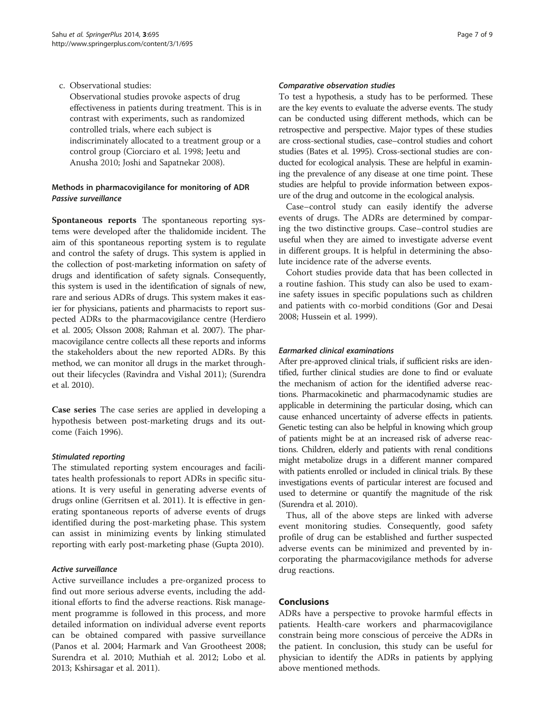c. Observational studies:

Observational studies provoke aspects of drug effectiveness in patients during treatment. This is in contrast with experiments, such as randomized controlled trials, where each subject is indiscriminately allocated to a treatment group or a control group (Ciorciaro et al. [1998](#page-7-0); Jeetu and Anusha [2010](#page-7-0); Joshi and Sapatnekar [2008](#page-7-0)).

# Methods in pharmacovigilance for monitoring of ADR Passive surveillance

Spontaneous reports The spontaneous reporting systems were developed after the thalidomide incident. The aim of this spontaneous reporting system is to regulate and control the safety of drugs. This system is applied in the collection of post-marketing information on safety of drugs and identification of safety signals. Consequently, this system is used in the identification of signals of new, rare and serious ADRs of drugs. This system makes it easier for physicians, patients and pharmacists to report suspected ADRs to the pharmacovigilance centre (Herdiero et al. [2005](#page-7-0); Olsson [2008;](#page-8-0) Rahman et al. [2007\)](#page-8-0). The pharmacovigilance centre collects all these reports and informs the stakeholders about the new reported ADRs. By this method, we can monitor all drugs in the market throughout their lifecycles (Ravindra and Vishal [2011](#page-8-0)); (Surendra et al. [2010](#page-8-0)).

Case series The case series are applied in developing a hypothesis between post-marketing drugs and its outcome (Faich [1996](#page-7-0)).

#### Stimulated reporting

The stimulated reporting system encourages and facilitates health professionals to report ADRs in specific situations. It is very useful in generating adverse events of drugs online (Gerritsen et al. [2011\)](#page-7-0). It is effective in generating spontaneous reports of adverse events of drugs identified during the post-marketing phase. This system can assist in minimizing events by linking stimulated reporting with early post-marketing phase (Gupta [2010](#page-7-0)).

#### Active surveillance

Active surveillance includes a pre-organized process to find out more serious adverse events, including the additional efforts to find the adverse reactions. Risk management programme is followed in this process, and more detailed information on individual adverse event reports can be obtained compared with passive surveillance (Panos et al. [2004;](#page-8-0) Harmark and Van Grootheest [2008](#page-7-0); Surendra et al. [2010](#page-8-0); Muthiah et al. [2012;](#page-8-0) Lobo et al. [2013](#page-7-0); Kshirsagar et al. [2011](#page-7-0)).

#### Comparative observation studies

To test a hypothesis, a study has to be performed. These are the key events to evaluate the adverse events. The study can be conducted using different methods, which can be retrospective and perspective. Major types of these studies are cross-sectional studies, case–control studies and cohort studies (Bates et al. [1995](#page-7-0)). Cross-sectional studies are conducted for ecological analysis. These are helpful in examining the prevalence of any disease at one time point. These studies are helpful to provide information between exposure of the drug and outcome in the ecological analysis.

Case–control study can easily identify the adverse events of drugs. The ADRs are determined by comparing the two distinctive groups. Case–control studies are useful when they are aimed to investigate adverse event in different groups. It is helpful in determining the absolute incidence rate of the adverse events.

Cohort studies provide data that has been collected in a routine fashion. This study can also be used to examine safety issues in specific populations such as children and patients with co-morbid conditions (Gor and Desai [2008](#page-7-0); Hussein et al. [1999](#page-7-0)).

#### Earmarked clinical examinations

After pre-approved clinical trials, if sufficient risks are identified, further clinical studies are done to find or evaluate the mechanism of action for the identified adverse reactions. Pharmacokinetic and pharmacodynamic studies are applicable in determining the particular dosing, which can cause enhanced uncertainty of adverse effects in patients. Genetic testing can also be helpful in knowing which group of patients might be at an increased risk of adverse reactions. Children, elderly and patients with renal conditions might metabolize drugs in a different manner compared with patients enrolled or included in clinical trials. By these investigations events of particular interest are focused and used to determine or quantify the magnitude of the risk (Surendra et al. [2010\)](#page-8-0).

Thus, all of the above steps are linked with adverse event monitoring studies. Consequently, good safety profile of drug can be established and further suspected adverse events can be minimized and prevented by incorporating the pharmacovigilance methods for adverse drug reactions.

## Conclusions

ADRs have a perspective to provoke harmful effects in patients. Health-care workers and pharmacovigilance constrain being more conscious of perceive the ADRs in the patient. In conclusion, this study can be useful for physician to identify the ADRs in patients by applying above mentioned methods.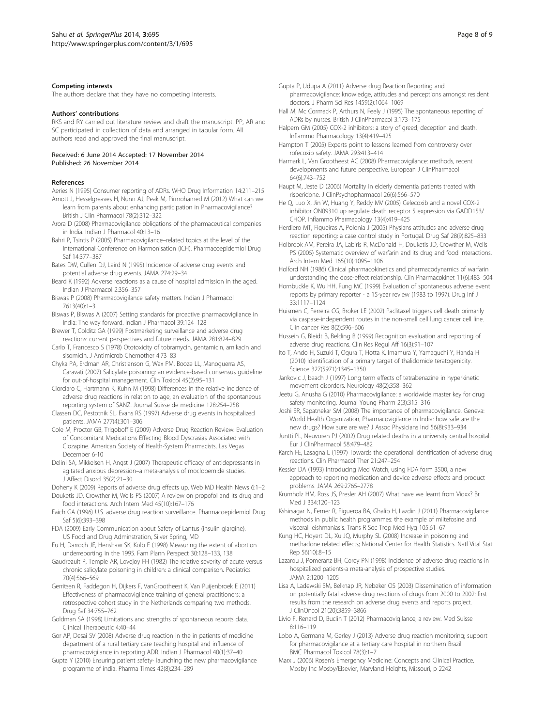#### <span id="page-7-0"></span>Competing interests

The authors declare that they have no competing interests.

#### Authors' contributions

RKS and RY carried out literature review and draft the manuscript. PP, AR and SC participated in collection of data and arranged in tabular form. All authors read and approved the final manuscript.

#### Received: 6 June 2014 Accepted: 17 November 2014 Published: 26 November 2014

#### References

- Aeries N (1995) Consumer reporting of ADRs. WHO Drug Information 14:211–215 Arnott J, Hesselgreaves H, Nunn AJ, Peak M, Pirmohamed M (2012) What can we
- learn from parents about enhancing participation in Pharmacovigilance? British J Clin Pharmacol 78(2):312–322
- Arora D (2008) Pharmacovigilance obligations of the pharmaceutical companies in India. Indian J Pharmacol 40:13–16
- Bahri P, Tsintis P (2005) Pharmacovigilance–related topics at the level of the International Conference on Harmonisation (ICH). Pharmacoepidemiol Drug Saf 14:377–387
- Bates DW, Cullen DJ, Laird N (1995) Incidence of adverse drug events and potential adverse drug events. JAMA 274:29–34
- Beard K (1992) Adverse reactions as a cause of hospital admission in the aged. Indian J Pharmacol 2:356–357
- Biswas P (2008) Pharmacovigilance safety matters. Indian J Pharmacol 7613(40):1–3
- Biswas P, Biswas A (2007) Setting standards for proactive pharmacovigilance in India: The way forward. Indian J Pharmacol 39:124–128
- Brewer T, Colditz GA (1999) Postmarketing surveillance and adverse drug reactions: current perspectives and future needs. JAMA 281:824–829
- Carlo T, Francesco S (1978) Ototoxicity of tobramycin, gentamicin, amikacin and sisomicin. J Antimicrob Chemother 4:73–83
- Chyka PA, Erdman AR, Christianson G, Wax PM, Booze LL, Manoguerra AS, Caravati (2007) Salicylate poisoning: an evidence-based consensus guideline for out-of-hospital management. Clin Toxicol 45(2):95–131
- Ciorciaro C, Hartmann K, Kuhn M (1998) Differences in the relative incidence of adverse drug reactions in relation to age, an evaluation of the spontaneous reporting system of SANZ. Journal Suisse de medicine 128:254–258
- Classen DC, Pestotnik SL, Evans RS (1997) Adverse drug events in hospitalized patients. JAMA 277(4):301–306
- Cole M, Proctor GB, Trigoboff E (2009) Adverse Drug Reaction Review: Evaluation of Concomitant Medications Effecting Blood Dyscrasias Associated with Clozapine. American Society of Health-System Pharmacists, Las Vegas December 6-10
- Delini SA, Mikkelsen H, Angst J (2007) Therapeutic efficacy of antidepressants in agitated anxious depression–a meta-analysis of moclobemide studies. J Affect Disord 35(2):21–30
- Doheny K (2009) Reports of adverse drug effects up. Web MD Health News 6:1–2
- Douketis JD, Crowther M, Wells PS (2007) A review on propofol and its drug and food interactions. Arch Intern Med 45(10):167–176
- Faich GA (1996) U.S. adverse drug reaction surveillance. Pharmacoepidemiol Drug Saf 5(6):393–398
- FDA (2009) Early Communication about Safety of Lantus (insulin glargine). US Food and Drug Adminstration, Silver Spring, MD
- Fu H, Darroch JE, Henshaw SK, Kolb E (1998) Measuring the extent of abortion underreporting in the 1995. Fam Plann Perspect 30:128–133, 138
- Gaudreault P, Temple AR, Lovejoy FH (1982) The relative severity of acute versus chronic salicylate poisoning in children: a clinical comparison. Pediatrics 70(4):566–569
- Gerritsen R, Faddegon H, Dijkers F, VanGrootheest K, Van Puijenbroek E (2011) Effectiveness of pharmacovigilance training of general practitioners: a retrospective cohort study in the Netherlands comparing two methods. Drug Saf 34:755–762
- Goldman SA (1998) Limitations and strengths of spontaneous reports data. Clinical Therapeutic 4:40–44
- Gor AP, Desai SV (2008) Adverse drug reaction in the in patients of medicine department of a rural tertiary care teaching hospital and influence of pharmacovigilance in reporting ADR. Indian J Pharmacol 40(1):37–40
- Gupta Y (2010) Ensuring patient safety- launching the new pharmacovigilance programme of india. Pharma Times 42(8):234–289
- Gupta P, Udupa A (2011) Adverse drug Reaction Reporting and pharmacovigilance: knowledge, attitudes and perceptions amongst resident doctors. J Pharm Sci Res 1459(2):1064–1069
- Hall M, Mc Cormack P, Arthurs N, Feely J (1995) The spontaneous reporting of ADRs by nurses. British J ClinPharmacol 3:173–175
- Halpern GM (2005) COX-2 inhibitors: a story of greed, deception and death. Inflammo Pharmacology 13(4):419–425
- Hampton T (2005) Experts point to lessons learned from controversy over rofecoxib safety. JAMA 293:413–414
- Harmark L, Van Grootheest AC (2008) Pharmacovigilance: methods, recent developments and future perspective. European J ClinPharmacol 64(6):743–752
- Haupt M, Jeste D (2006) Mortality in elderly dementia patients treated with risperidone. J ClinPsychopharmacol 26(6):566–570
- He Q, Luo X, Jin W, Huang Y, Reddy MV (2005) Celecoxib and a novel COX-2 inhibitor ON09310 up regulate death receptor 5 expression via GADD153/ CHOP. Inflammo Pharmacology 13(4):419–425
- Herdiero MT, Figueiras A, Polonia J (2005) Physians attitudes and adverse drug reaction reporting: a case control study in Portugal. Drug Saf 28(9):825–833
- Holbrook AM, Pereira JA, Labiris R, McDonald H, Douketis JD, Crowther M, Wells PS (2005) Systematic overview of warfarin and its drug and food interactions. Arch Intern Med 165(10):1095–1106
- Holford NH (1986) Clinical pharmacokinetics and pharmacodynamics of warfarin understanding the dose-effect relationship. Clin Pharmacokinet 11(6):483–504
- Hornbuckle K, Wu HH, Fung MC (1999) Evaluation of spontaneous adverse event reports by primary reporter - a 15-year review (1983 to 1997). Drug Inf J 33:1117–1124
- Huismen C, Ferreira CG, Broker LE (2002) Paclitaxel triggers cell death primarily via caspase-independent routes in the non-small cell lung cancer cell line. Clin cancer Res 8(2):596–606
- Hussein G, Bleidt B, Belding B (1999) Recognition evaluation and reporting of adverse drug reactions. Clin Res Regul Aff 16(3):91–107
- Ito T, Ando H, Suzuki T, Ogura T, Hotta K, Imamura Y, Yamaguchi Y, Handa H (2010) Identification of a primary target of thalidomide teratogenicity. Science 327(5971):1345–1350
- Jankovic J, beach J (1997) Long term effects of tetrabenazine in hyperkinetic movement disorders. Neurology 48(2):358–362
- Jeetu G, Anusha G (2010) Pharmacovigilance: a worldwide master key for drug safety monitoring. Journal Young Pharm 2(3):315–316
- Joshi SR, Sapatnekar SM (2008) The importance of pharmacovigilance. Geneva: World Health Organization, Pharmacovigilance in India: how safe are the new drugs? How sure are we? J Assoc Physicians Ind 56(8):933–934
- Juntti PL, Neuvoren PJ (2002) Drug related deaths in a university central hospital. Eur J ClinPharmacol 58:479–482
- Karch FE, Lasagna L (1997) Towards the operational identification of adverse drug reactions. Clin Pharmacol Ther 21:247–254
- Kessler DA (1993) Introducing Med Watch, using FDA form 3500, a new approach to reporting medication and device adverse effects and product problems. JAMA 269:2765–2778
- Krumholz HM, Ross JS, Presler AH (2007) What have we learnt from Vioxx? Br Med J 334:120–123
- Kshirsagar N, Ferner R, Figueroa BA, Ghalib H, Lazdin J (2011) Pharmacovigilance methods in public health programmes: the example of miltefosine and visceral leishmaniasis. Trans R Soc Trop Med Hyg 105:61–67
- Kung HC, Hoyert DL, Xu JQ, Murphy SL (2008) Increase in poisoning and methadone related effects; National Center for Health Statistics. Natl Vital Stat Rep 56(10):8–15
- Lazarou J, Pomeranz BH, Corey PN (1998) Incidence of adverse drug reactions in hospitalized patients-a meta-analysis of prospective studies. JAMA 2:1200–1205
- Lisa A, Ladewski SM, Belknap JR, Nebeker OS (2003) Dissemination of information on potentially fatal adverse drug reactions of drugs from 2000 to 2002: first results from the research on adverse drug events and reports project. J ClinOncol 21(20):3859–3866
- Livio F, Renard D, Buclin T (2012) Pharmacovigilance, a review. Med Suisse 8:116–119
- Lobo A, Germana M, Gerley J (2013) Adverse drug reaction monitoring; support for pharmacovigilance at a tertiary care hospital in northern Brazil. BMC Pharmacol Toxicol 78(3):1–7
- Marx J (2006) Rosen's Emergency Medicine: Concepts and Clinical Practice. Mosby Inc Mosby/Elsevier, Maryland Heights, Missouri, p 2242